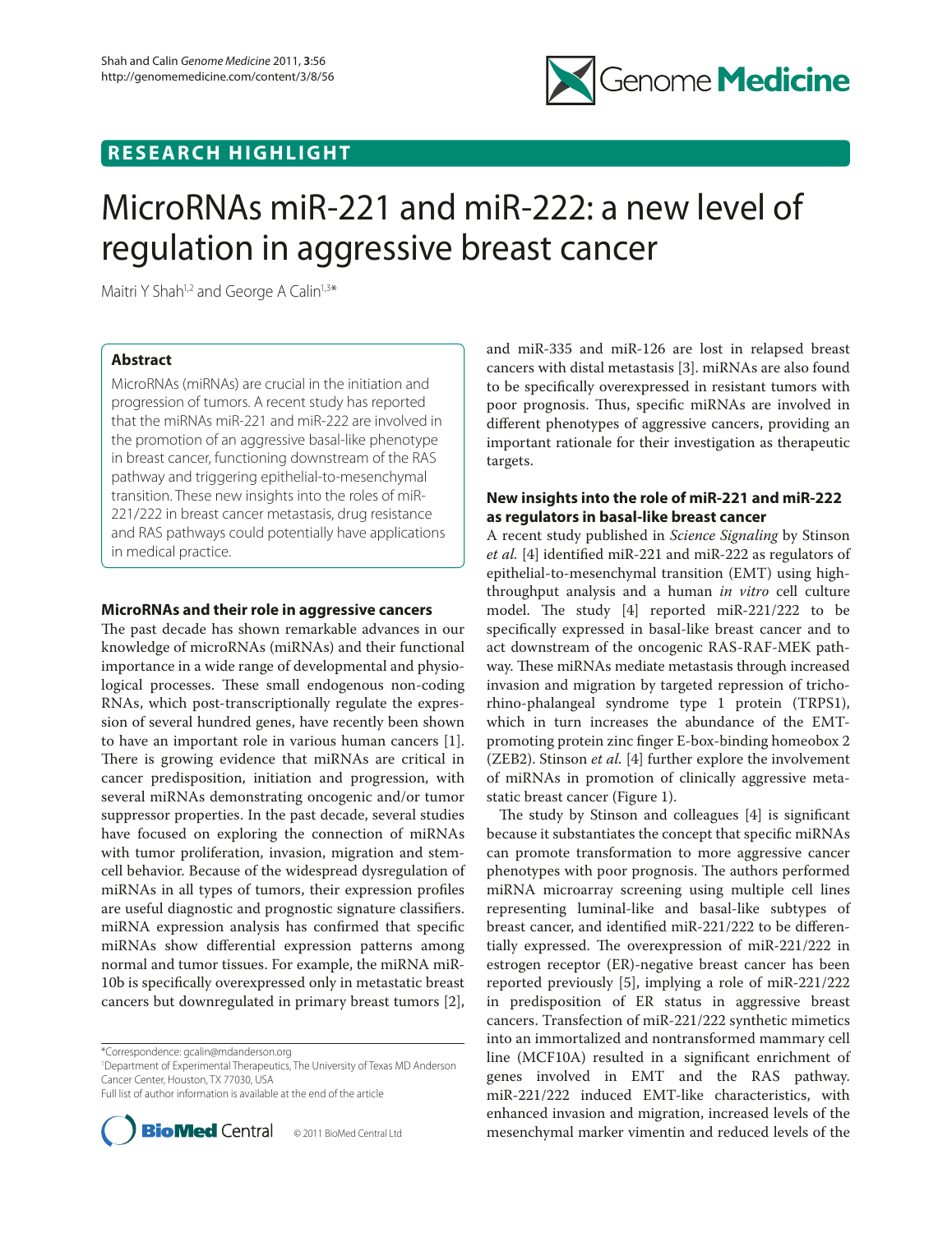

## **RESEARCH HIGHLIGHT**

# MicroRNAs miR-221 and miR-222: a new level of regulation in aggressive breast cancer

Maitri Y Shah<sup>1,2</sup> and George A Calin<sup>1,3\*</sup>

## **Abstract**

MicroRNAs (miRNAs) are crucial in the initiation and progression of tumors. A recent study has reported that the miRNAs miR-221 and miR-222 are involved in the promotion of an aggressive basal-like phenotype in breast cancer, functioning downstream of the RAS pathway and triggering epithelial-to-mesenchymal transition. These new insights into the roles of miR-221/222 in breast cancer metastasis, drug resistance and RAS pathways could potentially have applications in medical practice.

## **MicroRNAs and their role in aggressive cancers**

The past decade has shown remarkable advances in our knowledge of microRNAs (miRNAs) and their functional importance in a wide range of developmental and physiological processes. These small endogenous non-coding RNAs, which post-transcriptionally regulate the expression of several hundred genes, have recently been shown to have an important role in various human cancers [1]. There is growing evidence that miRNAs are critical in cancer predisposition, initiation and progression, with several miRNAs demonstrating oncogenic and/or tumor suppressor properties. In the past decade, several studies have focused on exploring the connection of miRNAs with tumor proliferation, invasion, migration and stemcell behavior. Because of the widespread dysregulation of miRNAs in all types of tumors, their expression profiles are useful diagnostic and prognostic signature classifiers. miRNA expression analysis has confirmed that specific miRNAs show differential expression patterns among normal and tumor tissues. For example, the miRNA miR-10b is specifically overexpressed only in metastatic breast cancers but downregulated in primary breast tumors [2],

\*Correspondence: gcalin@mdanderson.org

1 Department of Experimental Therapeutics, The University of Texas MD Anderson Cancer Center, Houston, TX 77030, USA

Full list of author information is available at the end of the article



and miR-335 and miR-126 are lost in relapsed breast cancers with distal metastasis [3]. miRNAs are also found to be specifically overexpressed in resistant tumors with poor prognosis. Thus, specific miRNAs are involved in different phenotypes of aggressive cancers, providing an important rationale for their investigation as therapeutic targets.

## **New insights into the role of miR-221 and miR-222 as regulators in basal-like breast cancer**

A recent study published in *Science Signaling* by Stinson *et al.* [4] identified miR-221 and miR-222 as regulators of epithelial-to-mesenchymal transition (EMT) using highthroughput analysis and a human *in vitro* cell culture model. The study  $[4]$  reported miR-221/222 to be specifically expressed in basal-like breast cancer and to act downstream of the oncogenic RAS-RAF-MEK pathway. These miRNAs mediate metastasis through increased invasion and migration by targeted repression of trichorhino-phalangeal syndrome type 1 protein (TRPS1), which in turn increases the abundance of the EMTpromoting protein zinc finger E-box-binding homeobox 2 (ZEB2). Stinson *et al.* [4] further explore the involvement of miRNAs in promotion of clinically aggressive metastatic breast cancer (Figure 1).

The study by Stinson and colleagues  $[4]$  is significant because it substantiates the concept that specific miRNAs can promote transformation to more aggressive cancer phenotypes with poor prognosis. The authors performed miRNA microarray screening using multiple cell lines representing luminal-like and basal-like subtypes of breast cancer, and identified miR-221/222 to be differentially expressed. The overexpression of  $miR-221/222$  in estrogen receptor (ER)-negative breast cancer has been reported previously [5], implying a role of miR-221/222 in predisposition of ER status in aggressive breast cancers. Transfection of miR-221/222 synthetic mimetics into an immortalized and nontransformed mammary cell line (MCF10A) resulted in a significant enrichment of genes involved in EMT and the RAS pathway. miR-221/222 induced EMT-like characteristics, with enhanced invasion and migration, increased levels of the mesenchymal marker vimentin and reduced levels of the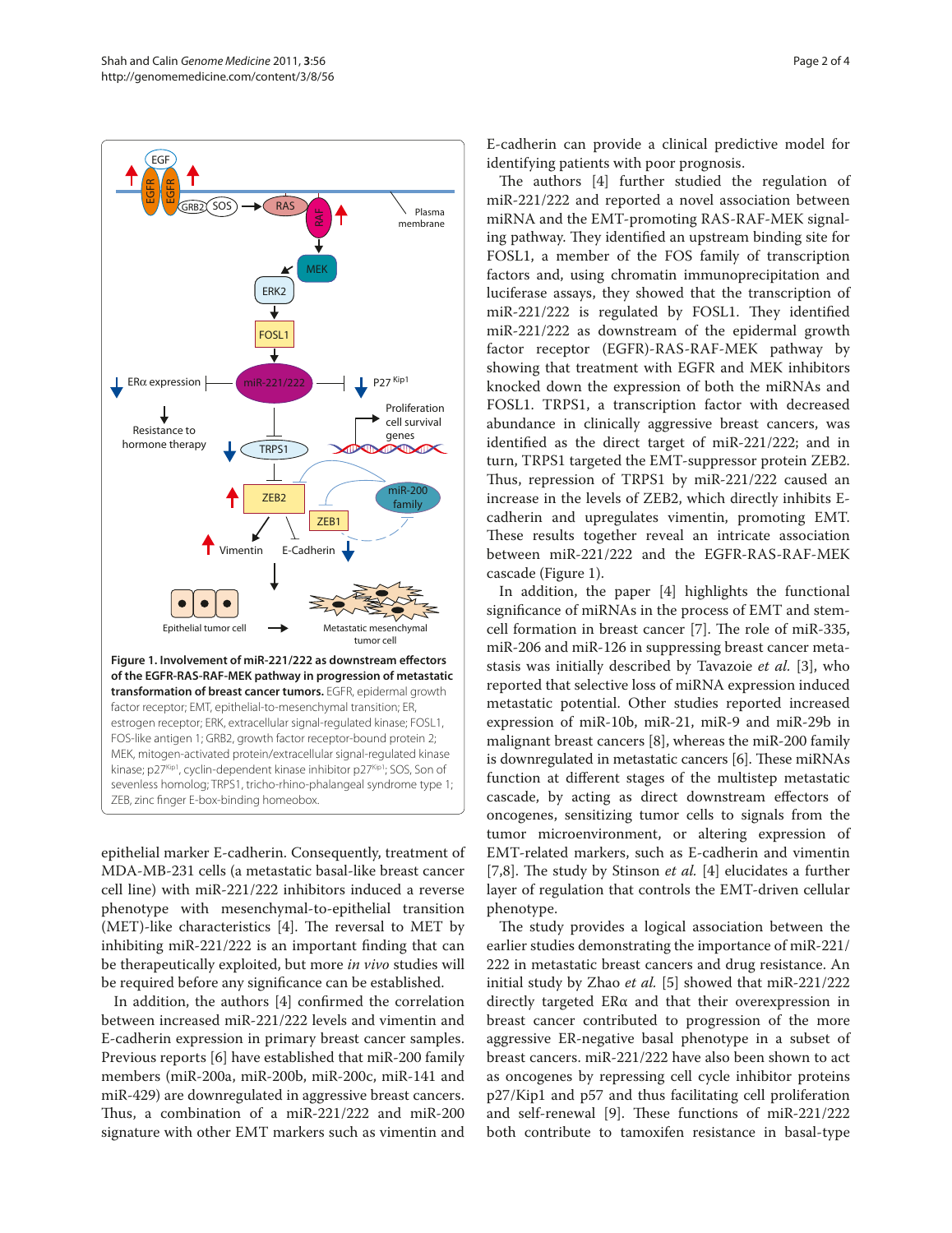

epithelial marker E-cadherin. Consequently, treatment of MDA-MB-231 cells (a metastatic basal-like breast cancer cell line) with miR-221/222 inhibitors induced a reverse phenotype with mesenchymal-to-epithelial transition (MET)-like characteristics [4]. The reversal to MET by inhibiting miR-221/222 is an important finding that can be therapeutically exploited, but more *in vivo* studies will be required before any significance can be established.

In addition, the authors [4] confirmed the correlation between increased miR-221/222 levels and vimentin and E-cadherin expression in primary breast cancer samples. Previous reports [6] have established that miR-200 family members (miR-200a, miR-200b, miR-200c, miR-141 and miR-429) are downregulated in aggressive breast cancers. Thus, a combination of a miR-221/222 and miR-200 signature with other EMT markers such as vimentin and

E-cadherin can provide a clinical predictive model for identifying patients with poor prognosis.

The authors [4] further studied the regulation of miR-221/222 and reported a novel association between miRNA and the EMT-promoting RAS-RAF-MEK signaling pathway. They identified an upstream binding site for FOSL1, a member of the FOS family of transcription factors and, using chromatin immunoprecipitation and luciferase assays, they showed that the transcription of miR-221/222 is regulated by FOSL1. They identified miR-221/222 as downstream of the epidermal growth factor receptor (EGFR)-RAS-RAF-MEK pathway by showing that treatment with EGFR and MEK inhibitors knocked down the expression of both the miRNAs and FOSL1. TRPS1, a transcription factor with decreased abundance in clinically aggressive breast cancers, was identified as the direct target of miR-221/222; and in turn, TRPS1 targeted the EMT-suppressor protein ZEB2. Thus, repression of TRPS1 by miR-221/222 caused an increase in the levels of ZEB2, which directly inhibits Ecadherin and upregulates vimentin, promoting EMT. These results together reveal an intricate association between miR-221/222 and the EGFR-RAS-RAF-MEK cascade (Figure 1).

In addition, the paper [4] highlights the functional significance of miRNAs in the process of EMT and stemcell formation in breast cancer [7]. The role of miR-335, miR-206 and miR-126 in suppressing breast cancer metastasis was initially described by Tavazoie *et al.* [3], who reported that selective loss of miRNA expression induced metastatic potential. Other studies reported increased expression of miR-10b, miR-21, miR-9 and miR-29b in malignant breast cancers [8], whereas the miR-200 family is downregulated in metastatic cancers [6]. These miRNAs function at different stages of the multistep metastatic cascade, by acting as direct downstream effectors of oncogenes, sensitizing tumor cells to signals from the tumor microenvironment, or altering expression of EMT-related markers, such as E-cadherin and vimentin [7,8]. The study by Stinson *et al.* [4] elucidates a further layer of regulation that controls the EMT-driven cellular phenotype.

The study provides a logical association between the earlier studies demonstrating the importance of miR-221/ 222 in metastatic breast cancers and drug resistance. An initial study by Zhao *et al.* [5] showed that miR-221/222 directly targeted ERα and that their overexpression in breast cancer contributed to progression of the more aggressive ER-negative basal phenotype in a subset of breast cancers. miR-221/222 have also been shown to act as oncogenes by repressing cell cycle inhibitor proteins p27/Kip1 and p57 and thus facilitating cell proliferation and self-renewal [9]. These functions of miR-221/222 both contribute to tamoxifen resistance in basal-type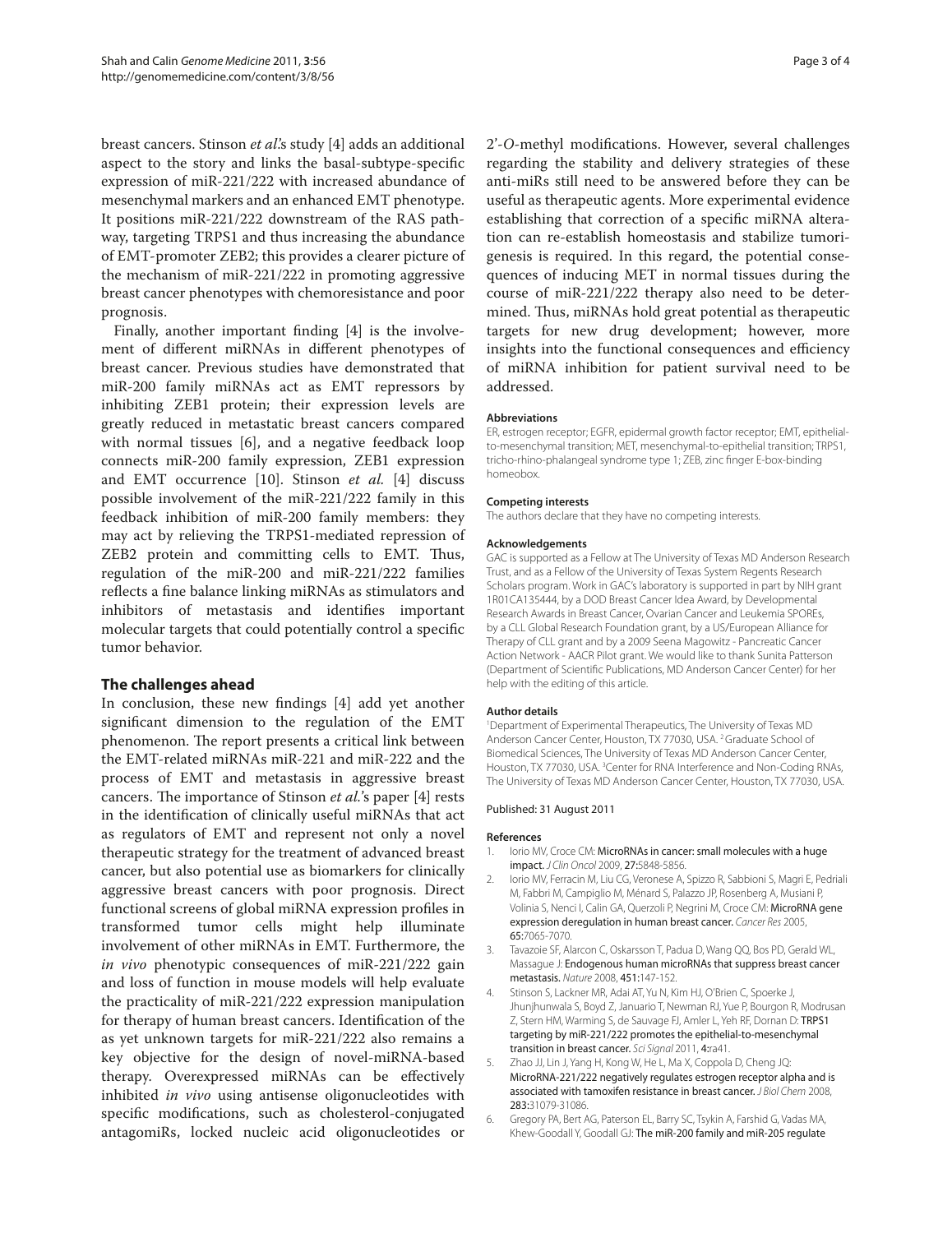breast cancers. Stinson *et al*.'s study [4] adds an additional aspect to the story and links the basal-subtype-specific expression of miR-221/222 with increased abundance of mesenchymal markers and an enhanced EMT phenotype. It positions miR-221/222 downstream of the RAS pathway, targeting TRPS1 and thus increasing the abundance of EMT-promoter ZEB2; this provides a clearer picture of the mechanism of miR-221/222 in promoting aggressive breast cancer phenotypes with chemoresistance and poor prognosis.

Finally, another important finding [4] is the involvement of different miRNAs in different phenotypes of breast cancer. Previous studies have demonstrated that miR-200 family miRNAs act as EMT repressors by inhibiting ZEB1 protein; their expression levels are greatly reduced in metastatic breast cancers compared with normal tissues [6], and a negative feedback loop connects miR-200 family expression, ZEB1 expression and EMT occurrence [10]. Stinson *et al.* [4] discuss possible involvement of the miR-221/222 family in this feedback inhibition of miR-200 family members: they may act by relieving the TRPS1-mediated repression of ZEB2 protein and committing cells to EMT. Thus, regulation of the miR-200 and miR-221/222 families reflects a fine balance linking miRNAs as stimulators and inhibitors of metastasis and identifies important molecular targets that could potentially control a specific tumor behavior.

## **The challenges ahead**

In conclusion, these new findings [4] add yet another significant dimension to the regulation of the EMT phenomenon. The report presents a critical link between the EMT-related miRNAs miR-221 and miR-222 and the process of EMT and metastasis in aggressive breast cancers. The importance of Stinson *et al.*'s paper [4] rests in the identification of clinically useful miRNAs that act as regulators of EMT and represent not only a novel therapeutic strategy for the treatment of advanced breast cancer, but also potential use as biomarkers for clinically aggressive breast cancers with poor prognosis. Direct functional screens of global miRNA expression profiles in transformed tumor cells might help illuminate involvement of other miRNAs in EMT. Furthermore, the *in vivo* phenotypic consequences of miR-221/222 gain and loss of function in mouse models will help evaluate the practicality of miR-221/222 expression manipulation for therapy of human breast cancers. Identification of the as yet unknown targets for miR-221/222 also remains a key objective for the design of novel-miRNA-based therapy. Overexpressed miRNAs can be effectively inhibited *in vivo* using antisense oligonucleotides with specific modifications, such as cholesterol-conjugated antagomiRs, locked nucleic acid oligonucleotides or 2'-*O*-methyl modifications. However, several challenges regarding the stability and delivery strategies of these anti-miRs still need to be answered before they can be useful as therapeutic agents. More experimental evidence establishing that correction of a specific miRNA alteration can re-establish homeostasis and stabilize tumorigenesis is required. In this regard, the potential consequences of inducing MET in normal tissues during the course of miR-221/222 therapy also need to be determined. Thus, miRNAs hold great potential as therapeutic targets for new drug development; however, more insights into the functional consequences and efficiency of miRNA inhibition for patient survival need to be addressed.

#### **Abbreviations**

ER, estrogen receptor; EGFR, epidermal growth factor receptor; EMT, epithelialto-mesenchymal transition; MET, mesenchymal-to-epithelial transition; TRPS1, tricho-rhino-phalangeal syndrome type 1; ZEB, zinc finger E-box-binding homeobox.

#### **Competing interests**

The authors declare that they have no competing interests.

#### **Acknowledgements**

GAC is supported as a Fellow at The University of Texas MD Anderson Research Trust, and as a Fellow of the University of Texas System Regents Research Scholars program. Work in GAC's laboratory is supported in part by NIH grant 1R01CA135444, by a DOD Breast Cancer Idea Award, by Developmental Research Awards in Breast Cancer, Ovarian Cancer and Leukemia SPOREs, by a CLL Global Research Foundation grant, by a US/European Alliance for Therapy of CLL grant and by a 2009 Seena Magowitz - Pancreatic Cancer Action Network - AACR Pilot grant. We would like to thank Sunita Patterson (Department of Scientific Publications, MD Anderson Cancer Center) for her help with the editing of this article.

#### **Author details**

1 Department of Experimental Therapeutics, The University of Texas MD Anderson Cancer Center, Houston, TX 77030, USA. 2 Graduate School of Biomedical Sciences, The University of Texas MD Anderson Cancer Center, Houston, TX 77030, USA. <sup>3</sup>Center for RNA Interference and Non-Coding RNAs, The University of Texas MD Anderson Cancer Center, Houston, TX 77030, USA.

#### Published: 31 August 2011

#### **References**

- 1. Iorio MV, Croce CM: MicroRNAs in cancer: small molecules with a huge impact. *J Clin Oncol* 2009, 27:5848-5856.
- 2. Iorio MV, Ferracin M, Liu CG, Veronese A, Spizzo R, Sabbioni S, Magri E, Pedriali M, Fabbri M, Campiglio M, Ménard S, Palazzo JP, Rosenberg A, Musiani P, Volinia S, Nenci I, Calin GA, Querzoli P, Negrini M, Croce CM: MicroRNA gene expression deregulation in human breast cancer. *Cancer Res* 2005, 65:7065-7070.
- 3. Tavazoie SF, Alarcon C, Oskarsson T, Padua D, Wang QQ, Bos PD, Gerald WL, Massague J: Endogenous human microRNAs that suppress breast cancer metastasis. *Nature* 2008, 451:147-152.
- 4. Stinson S, Lackner MR, Adai AT, Yu N, Kim HJ, O'Brien C, Spoerke J, Jhunjhunwala S, Boyd Z, Januario T, Newman RJ, Yue P, Bourgon R, Modrusan Z, Stern HM, Warming S, de Sauvage FJ, Amler L, Yeh RF, Dornan D: TRPS1 targeting by miR-221/222 promotes the epithelial-to-mesenchymal transition in breast cancer. *Sci Signal* 2011, 4:ra41.
- 5. Zhao JJ, Lin J, Yang H, Kong W, He L, Ma X, Coppola D, Cheng JQ: MicroRNA-221/222 negatively regulates estrogen receptor alpha and is associated with tamoxifen resistance in breast cancer. *J Biol Chem* 2008, 283:31079-31086.
- 6. Gregory PA, Bert AG, Paterson EL, Barry SC, Tsykin A, Farshid G, Vadas MA, Khew-Goodall Y, Goodall GJ: The miR-200 family and miR-205 regulate